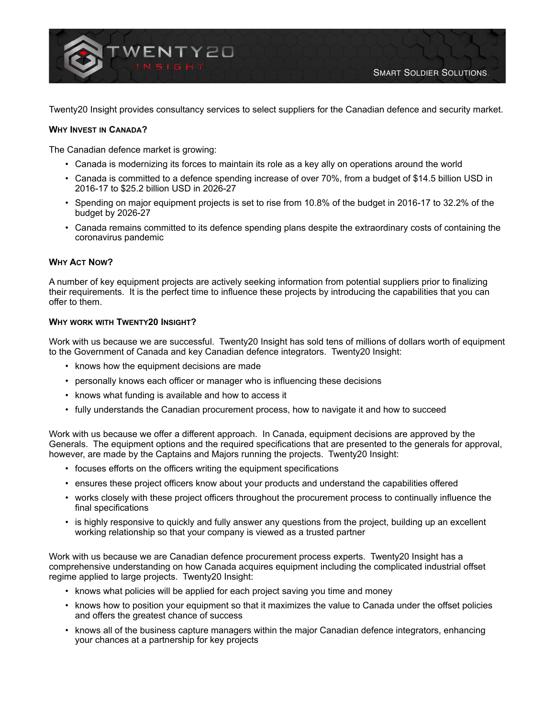

Twenty20 Insight provides consultancy services to select suppliers for the Canadian defence and security market.

## **WHY INVEST IN CANADA?**

The Canadian defence market is growing:

- Canada is modernizing its forces to maintain its role as a key ally on operations around the world
- Canada is committed to a defence spending increase of over 70%, from a budget of \$14.5 billion USD in 2016-17 to \$25.2 billion USD in 2026-27
- Spending on major equipment projects is set to rise from 10.8% of the budget in 2016-17 to 32.2% of the budget by 2026-27
- Canada remains committed to its defence spending plans despite the extraordinary costs of containing the coronavirus pandemic

#### **WHY ACT NOW?**

A number of key equipment projects are actively seeking information from potential suppliers prior to finalizing their requirements. It is the perfect time to influence these projects by introducing the capabilities that you can offer to them.

#### **WHY WORK WITH TWENTY20 INSIGHT?**

Work with us because we are successful. Twenty20 Insight has sold tens of millions of dollars worth of equipment to the Government of Canada and key Canadian defence integrators. Twenty20 Insight:

- knows how the equipment decisions are made
- personally knows each officer or manager who is influencing these decisions
- knows what funding is available and how to access it
- fully understands the Canadian procurement process, how to navigate it and how to succeed

Work with us because we offer a different approach. In Canada, equipment decisions are approved by the Generals. The equipment options and the required specifications that are presented to the generals for approval, however, are made by the Captains and Majors running the projects. Twenty20 Insight:

- focuses efforts on the officers writing the equipment specifications
- ensures these project officers know about your products and understand the capabilities offered
- works closely with these project officers throughout the procurement process to continually influence the final specifications
- is highly responsive to quickly and fully answer any questions from the project, building up an excellent working relationship so that your company is viewed as a trusted partner

Work with us because we are Canadian defence procurement process experts. Twenty20 Insight has a comprehensive understanding on how Canada acquires equipment including the complicated industrial offset regime applied to large projects. Twenty20 Insight:

- knows what policies will be applied for each project saving you time and money
- knows how to position your equipment so that it maximizes the value to Canada under the offset policies and offers the greatest chance of success
- knows all of the business capture managers within the major Canadian defence integrators, enhancing your chances at a partnership for key projects